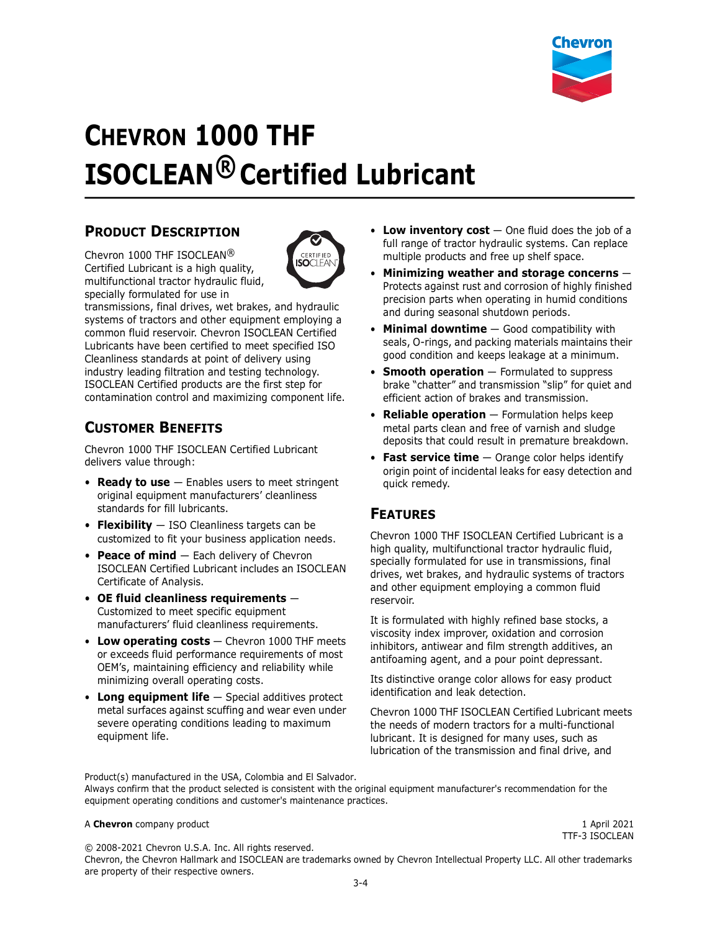

# **CHEVRON 1000 THF ISOCLEAN® Certified Lubricant**

#### **PRODUCT DESCRIPTION**

Chevron 1000 THE ISOCI FAN $@$ Certified Lubricant is a high quality, multifunctional tractor hydraulic fluid, specially formulated for use in



transmissions, final drives, wet brakes, and hydraulic systems of tractors and other equipment employing a common fluid reservoir. Chevron ISOCLEAN Certified Lubricants have been certified to meet specified ISO Cleanliness standards at point of delivery using industry leading filtration and testing technology. ISOCLEAN Certified products are the first step for contamination control and maximizing component life.

### **CUSTOMER BENEFITS**

Chevron 1000 THF ISOCLEAN Certified Lubricant delivers value through:

- **Ready to use** Enables users to meet stringent original equipment manufacturers' cleanliness standards for fill lubricants.
- **Flexibility** ISO Cleanliness targets can be customized to fit your business application needs.
- **Peace of mind** Each delivery of Chevron ISOCLEAN Certified Lubricant includes an ISOCLEAN Certificate of Analysis.
- **OE fluid cleanliness requirements** Customized to meet specific equipment manufacturers' fluid cleanliness requirements.
- **Low operating costs** Chevron 1000 THF meets or exceeds fluid performance requirements of most OEM's, maintaining efficiency and reliability while minimizing overall operating costs.
- **Long equipment life** Special additives protect metal surfaces against scuffing and wear even under severe operating conditions leading to maximum equipment life.
- Low inventory cost  $-$  One fluid does the job of a full range of tractor hydraulic systems. Can replace multiple products and free up shelf space.
- **Minimizing weather and storage concerns** Protects against rust and corrosion of highly finished precision parts when operating in humid conditions and during seasonal shutdown periods.
- **Minimal downtime** Good compatibility with seals, O-rings, and packing materials maintains their good condition and keeps leakage at a minimum.
- **Smooth operation** Formulated to suppress brake "chatter" and transmission "slip" for quiet and efficient action of brakes and transmission.
- **Reliable operation** Formulation helps keep metal parts clean and free of varnish and sludge deposits that could result in premature breakdown.
- **Fast service time** Orange color helps identify origin point of incidental leaks for easy detection and quick remedy.

#### **FEATURES**

Chevron 1000 THF ISOCLEAN Certified Lubricant is a high quality, multifunctional tractor hydraulic fluid, specially formulated for use in transmissions, final drives, wet brakes, and hydraulic systems of tractors and other equipment employing a common fluid reservoir.

It is formulated with highly refined base stocks, a viscosity index improver, oxidation and corrosion inhibitors, antiwear and film strength additives, an antifoaming agent, and a pour point depressant.

Its distinctive orange color allows for easy product identification and leak detection.

Chevron 1000 THF ISOCLEAN Certified Lubricant meets the needs of modern tractors for a multi-functional lubricant. It is designed for many uses, such as lubrication of the transmission and final drive, and

Product(s) manufactured in the USA, Colombia and El Salvador. Always confirm that the product selected is consistent with the original equipment manufacturer's recommendation for the equipment operating conditions and customer's maintenance practices.

#### A **Chevron** company product 1 April 2021

TTF-3 ISOCLEAN

© 2008-2021 Chevron U.S.A. Inc. All rights reserved. Chevron, the Chevron Hallmark and ISOCLEAN are trademarks owned by Chevron Intellectual Property LLC. All other trademarks are property of their respective owners.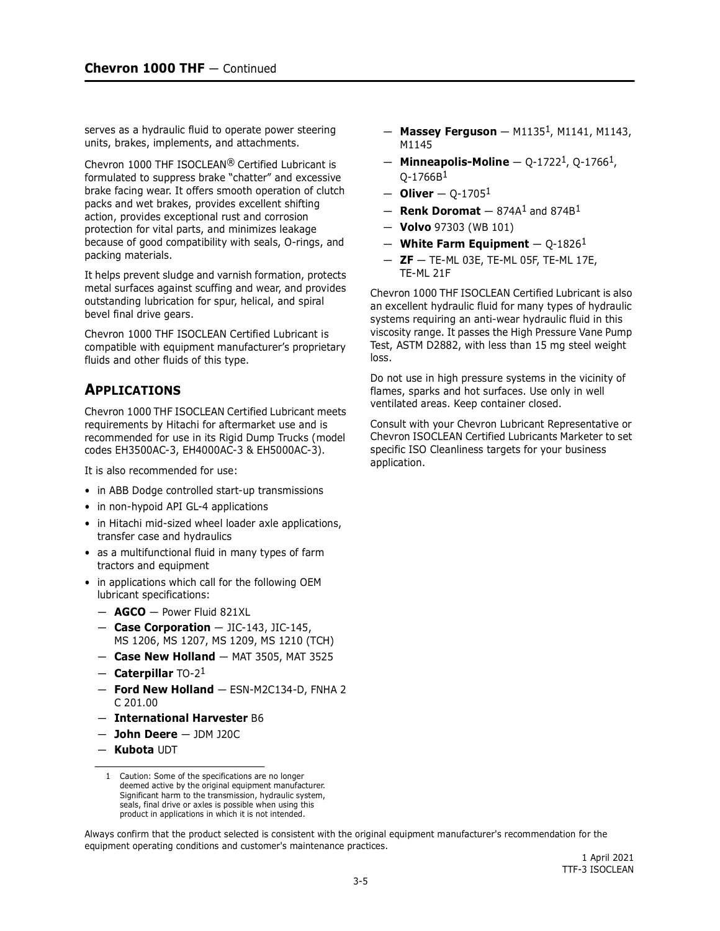serves as a hydraulic fluid to operate power steering units, brakes, implements, and attachments.

Chevron 1000 THF ISOCLEAN® Certified Lubricant is formulated to suppress brake "chatter" and excessive brake facing wear. It offers smooth operation of clutch packs and wet brakes, provides excellent shifting action, provides exceptional rust and corrosion protection for vital parts, and minimizes leakage because of good compatibility with seals, O-rings, and packing materials.

It helps prevent sludge and varnish formation, protects metal surfaces against scuffing and wear, and provides outstanding lubrication for spur, helical, and spiral bevel final drive gears.

Chevron 1000 THF ISOCLEAN Certified Lubricant is compatible with equipment manufacturer's proprietary fluids and other fluids of this type.

#### **APPLICATIONS**

Chevron 1000 THF ISOCLEAN Certified Lubricant meets requirements by Hitachi for aftermarket use and is recommended for use in its Rigid Dump Trucks (model codes EH3500AC-3, EH4000AC-3 & EH5000AC-3).

It is also recommended for use:

- in ABB Dodge controlled start-up transmissions
- in non-hypoid API GL-4 applications
- in Hitachi mid-sized wheel loader axle applications, transfer case and hydraulics
- as a multifunctional fluid in many types of farm tractors and equipment
- in applications which call for the following OEM lubricant specifications:
	- **AGCO** Power Fluid 821XL
	- **Case Corporation** JIC-143, JIC-145, MS 1206, MS 1207, MS 1209, MS 1210 (TCH)
	- **Case New Holland** MAT 3505, MAT 3525
	- **Caterpillar** TO-21
	- **Ford New Holland** ESN-M2C134-D, FNHA 2 C 201.00
	- **International Harvester** B6
	- **John Deere** JDM J20C
	- **Kubota** UDT
- **Massey Ferguson** M11351, M1141, M1143, M1145
- **Minneapolis-Moline** Q-17221, Q-17661,  $O-1766B<sup>1</sup>$
- **Oliver** Q-17051
- $-$  **Renk Doromat**  $-$  874A<sup>1</sup> and 874B<sup>1</sup>
- **Volvo** 97303 (WB 101)
- $-$  White Farm Equipment  $-$  Q-1826<sup>1</sup>
- **ZF** TE-ML 03E, TE-ML 05F, TE-ML 17E, TE-ML 21F

Chevron 1000 THF ISOCLEAN Certified Lubricant is also an excellent hydraulic fluid for many types of hydraulic systems requiring an anti-wear hydraulic fluid in this viscosity range. It passes the High Pressure Vane Pump Test, ASTM D2882, with less than 15 mg steel weight loss.

Do not use in high pressure systems in the vicinity of flames, sparks and hot surfaces. Use only in well ventilated areas. Keep container closed.

Consult with your Chevron Lubricant Representative or Chevron ISOCLEAN Certified Lubricants Marketer to set specific ISO Cleanliness targets for your business application.

Always confirm that the product selected is consistent with the original equipment manufacturer's recommendation for the equipment operating conditions and customer's maintenance practices.

<sup>1</sup> Caution: Some of the specifications are no longer deemed active by the original equipment manufacturer. Significant harm to the transmission, hydraulic system, seals, final drive or axles is possible when using this product in applications in which it is not intended.